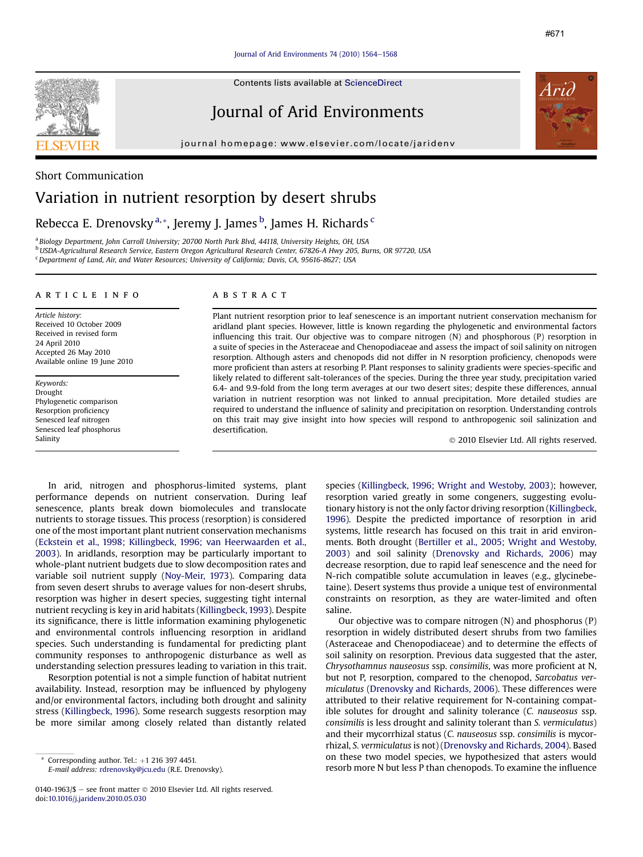### Journal of Arid Environments  $74$  (2010) 1564 $-1568$  $-1568$

Contents lists available at [ScienceDirect](www.sciencedirect.com/science/journal/01401963)

# Journal of Arid Environments

journal homepage: [www.elsevier.com/locate/jaridenv](http://www.elsevier.com/locate/jaridenv)



### Short Communication

# Variation in nutrient resorption by desert shrubs

## Rebecca E. Drenovsky <sup>a, \*</sup>, Jeremy J. James <sup>b</sup>, James H. Richards <sup>c</sup>

<sup>a</sup> Biology Department, John Carroll University; 20700 North Park Blvd, 44118, University Heights, OH, USA <sup>b</sup>USDA-Agricultural Research Service, Eastern Oregon Agricultural Research Center, 67826-A Hwy 205, Burns, OR 97720, USA <sup>c</sup> Department of Land, Air, and Water Resources; University of California; Davis, CA, 95616-8627; USA

### article info

Article history: Received 10 October 2009 Received in revised form 24 April 2010 Accepted 26 May 2010 Available online 19 June 2010

Keywords: Drought Phylogenetic comparison Resorption proficiency Senesced leaf nitrogen Senesced leaf phosphorus Salinity

### **ABSTRACT**

Plant nutrient resorption prior to leaf senescence is an important nutrient conservation mechanism for aridland plant species. However, little is known regarding the phylogenetic and environmental factors influencing this trait. Our objective was to compare nitrogen (N) and phosphorous (P) resorption in a suite of species in the Asteraceae and Chenopodiaceae and assess the impact of soil salinity on nitrogen resorption. Although asters and chenopods did not differ in N resorption proficiency, chenopods were more proficient than asters at resorbing P. Plant responses to salinity gradients were species-specific and likely related to different salt-tolerances of the species. During the three year study, precipitation varied 6.4- and 9.9-fold from the long term averages at our two desert sites; despite these differences, annual variation in nutrient resorption was not linked to annual precipitation. More detailed studies are required to understand the influence of salinity and precipitation on resorption. Understanding controls on this trait may give insight into how species will respond to anthropogenic soil salinization and desertification.

2010 Elsevier Ltd. All rights reserved.

In arid, nitrogen and phosphorus-limited systems, plant performance depends on nutrient conservation. During leaf senescence, plants break down biomolecules and translocate nutrients to storage tissues. This process (resorption) is considered one of the most important plant nutrient conservation mechanisms ([Eckstein et al., 1998; Killingbeck, 1996; van Heerwaarden et al.,](#page-4-0) [2003](#page-4-0)). In aridlands, resorption may be particularly important to whole-plant nutrient budgets due to slow decomposition rates and variable soil nutrient supply ([Noy-Meir, 1973](#page-4-0)). Comparing data from seven desert shrubs to average values for non-desert shrubs, resorption was higher in desert species, suggesting tight internal nutrient recycling is key in arid habitats [\(Killingbeck, 1993\)](#page-4-0). Despite its significance, there is little information examining phylogenetic and environmental controls influencing resorption in aridland species. Such understanding is fundamental for predicting plant community responses to anthropogenic disturbance as well as understanding selection pressures leading to variation in this trait.

Resorption potential is not a simple function of habitat nutrient availability. Instead, resorption may be influenced by phylogeny and/or environmental factors, including both drought and salinity stress [\(Killingbeck, 1996\)](#page-4-0). Some research suggests resorption may be more similar among closely related than distantly related

E-mail address: [rdrenovsky@jcu.edu](mailto:rdrenovsky@jcu.edu) (R.E. Drenovsky).

species ([Killingbeck, 1996; Wright and Westoby, 2003](#page-4-0)); however, resorption varied greatly in some congeners, suggesting evolutionary history is not the only factor driving resorption [\(Killingbeck,](#page-4-0) [1996](#page-4-0)). Despite the predicted importance of resorption in arid systems, little research has focused on this trait in arid environments. Both drought ([Bertiller et al., 2005; Wright and Westoby,](#page-4-0) [2003](#page-4-0)) and soil salinity ([Drenovsky and Richards, 2006](#page-4-0)) may decrease resorption, due to rapid leaf senescence and the need for N-rich compatible solute accumulation in leaves (e.g., glycinebetaine). Desert systems thus provide a unique test of environmental constraints on resorption, as they are water-limited and often saline.

Our objective was to compare nitrogen (N) and phosphorus (P) resorption in widely distributed desert shrubs from two families (Asteraceae and Chenopodiaceae) and to determine the effects of soil salinity on resorption. Previous data suggested that the aster, Chrysothamnus nauseosus ssp. consimilis, was more proficient at N, but not P, resorption, compared to the chenopod, Sarcobatus vermiculatus ([Drenovsky and Richards, 2006](#page-4-0)). These differences were attributed to their relative requirement for N-containing compatible solutes for drought and salinity tolerance (C. nauseosus ssp. consimilis is less drought and salinity tolerant than S. vermiculatus) and their mycorrhizal status (C. nauseosus ssp. consimilis is mycorrhizal, S. vermiculatus is not) [\(Drenovsky and Richards, 2004](#page-4-0)). Based on these two model species, we hypothesized that asters would resorb more N but less P than chenopods. To examine the influence

Corresponding author. Tel.:  $+1$  216 397 4451.

<sup>0140-1963/\$</sup>  $-$  see front matter  $\odot$  2010 Elsevier Ltd. All rights reserved. doi:[10.1016/j.jaridenv.2010.05.030](http://dx.doi.org/10.1016/j.jaridenv.2010.05.030)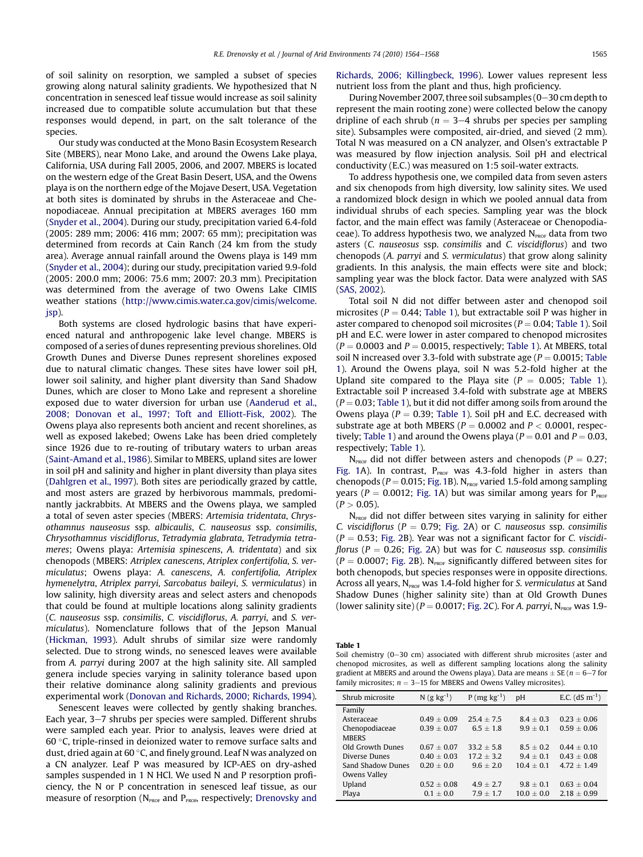of soil salinity on resorption, we sampled a subset of species growing along natural salinity gradients. We hypothesized that N concentration in senesced leaf tissue would increase as soil salinity increased due to compatible solute accumulation but that these responses would depend, in part, on the salt tolerance of the species.

Our study was conducted at the Mono Basin Ecosystem Research Site (MBERS), near Mono Lake, and around the Owens Lake playa, California, USA during Fall 2005, 2006, and 2007. MBERS is located on the western edge of the Great Basin Desert, USA, and the Owens playa is on the northern edge of the Mojave Desert, USA. Vegetation at both sites is dominated by shrubs in the Asteraceae and Chenopodiaceae. Annual precipitation at MBERS averages 160 mm ([Snyder et al., 2004](#page-4-0)). During our study, precipitation varied 6.4-fold (2005: 289 mm; 2006: 416 mm; 2007: 65 mm); precipitation was determined from records at Cain Ranch (24 km from the study area). Average annual rainfall around the Owens playa is 149 mm ([Snyder et al., 2004](#page-4-0)); during our study, precipitation varied 9.9-fold (2005: 200.0 mm; 2006: 75.6 mm; 2007: 20.3 mm). Precipitation was determined from the average of two Owens Lake CIMIS weather stations [\(http://www.cimis.water.ca.gov/cimis/welcome.](http://www.cimis.water.ca.gov/cimis/welcome.jsp) [jsp\)](http://www.cimis.water.ca.gov/cimis/welcome.jsp).

Both systems are closed hydrologic basins that have experienced natural and anthropogenic lake level change. MBERS is composed of a series of dunes representing previous shorelines. Old Growth Dunes and Diverse Dunes represent shorelines exposed due to natural climatic changes. These sites have lower soil pH, lower soil salinity, and higher plant diversity than Sand Shadow Dunes, which are closer to Mono Lake and represent a shoreline exposed due to water diversion for urban use [\(Aanderud et al.,](#page-4-0) [2008; Donovan et al., 1997; Toft and Elliott-Fisk, 2002](#page-4-0)). The Owens playa also represents both ancient and recent shorelines, as well as exposed lakebed; Owens Lake has been dried completely since 1926 due to re-routing of tributary waters to urban areas ([Saint-Amand et al., 1986](#page-4-0)). Similar to MBERS, upland sites are lower in soil pH and salinity and higher in plant diversity than playa sites ([Dahlgren et al., 1997](#page-4-0)). Both sites are periodically grazed by cattle, and most asters are grazed by herbivorous mammals, predominantly jackrabbits. At MBERS and the Owens playa, we sampled a total of seven aster species (MBERS: Artemisia tridentata, Chrysothamnus nauseosus ssp. albicaulis, C. nauseosus ssp. consimilis, Chrysothamnus viscidiflorus, Tetradymia glabrata, Tetradymia tetrameres; Owens playa: Artemisia spinescens, A. tridentata) and six chenopods (MBERS: Atriplex canescens, Atriplex confertifolia, S. vermiculatus; Owens playa: A. canescens, A. confertifolia, Atriplex hymenelytra, Atriplex parryi, Sarcobatus baileyi, S. vermiculatus) in low salinity, high diversity areas and select asters and chenopods that could be found at multiple locations along salinity gradients (C. nauseosus ssp. consimilis, C. viscidiflorus, A. parryi, and S. vermiculatus). Nomenclature follows that of the Jepson Manual ([Hickman, 1993](#page-4-0)). Adult shrubs of similar size were randomly selected. Due to strong winds, no senesced leaves were available from A. parryi during 2007 at the high salinity site. All sampled genera include species varying in salinity tolerance based upon their relative dominance along salinity gradients and previous experimental work [\(Donovan and Richards, 2000; Richards, 1994\)](#page-4-0).

Senescent leaves were collected by gently shaking branches. Each year, 3–7 shrubs per species were sampled. Different shrubs were sampled each year. Prior to analysis, leaves were dried at 60 °C, triple-rinsed in deionized water to remove surface salts and dust, dried again at  $60\,^{\circ}$ C, and finely ground. Leaf N was analyzed on a CN analyzer. Leaf P was measured by ICP-AES on dry-ashed samples suspended in 1 N HCl. We used N and P resorption proficiency, the N or P concentration in senesced leaf tissue, as our measure of resorption ( $N_{\text{PROF}}$  and  $P_{\text{PROF}}$  respectively; [Drenovsky and](#page-4-0) [Richards, 2006; Killingbeck, 1996\)](#page-4-0). Lower values represent less nutrient loss from the plant and thus, high proficiency.

During November 2007, three soil subsamples ( $0-30$  cm depth to represent the main rooting zone) were collected below the canopy dripline of each shrub ( $n = 3-4$  shrubs per species per sampling site). Subsamples were composited, air-dried, and sieved (2 mm). Total N was measured on a CN analyzer, and Olsen's extractable P was measured by flow injection analysis. Soil pH and electrical conductivity (E.C.) was measured on 1:5 soil-water extracts.

To address hypothesis one, we compiled data from seven asters and six chenopods from high diversity, low salinity sites. We used a randomized block design in which we pooled annual data from individual shrubs of each species. Sampling year was the block factor, and the main effect was family (Asteraceae or Chenopodiaceae). To address hypothesis two, we analyzed  $N_{\text{PROF}}$  data from two asters (C. nauseosus ssp. consimilis and C. viscidiflorus) and two chenopods (A. parryi and S. vermiculatus) that grow along salinity gradients. In this analysis, the main effects were site and block; sampling year was the block factor. Data were analyzed with SAS ([SAS, 2002](#page-4-0)).

Total soil N did not differ between aster and chenopod soil microsites ( $P = 0.44$ ; Table 1), but extractable soil P was higher in aster compared to chenopod soil microsites ( $P = 0.04$ ; Table 1). Soil pH and E.C. were lower in aster compared to chenopod microsites  $(P = 0.0003$  and  $P = 0.0015$ , respectively; Table 1). At MBERS, total soil N increased over 3.3-fold with substrate age ( $P = 0.0015$ ; Table 1). Around the Owens playa, soil N was 5.2-fold higher at the Upland site compared to the Playa site ( $P = 0.005$ ; Table 1). Extractable soil P increased 3.4-fold with substrate age at MBERS  $(P = 0.03$ ; Table 1), but it did not differ among soils from around the Owens playa ( $P = 0.39$ ; Table 1). Soil pH and E.C. decreased with substrate age at both MBERS ( $P = 0.0002$  and  $P < 0.0001$ , respectively; Table 1) and around the Owens playa ( $P = 0.01$  and  $P = 0.03$ , respectively; Table 1).

 $N_{\text{PROF}}$  did not differ between asters and chenopods ( $P = 0.27$ ; [Fig. 1A](#page-2-0)). In contrast,  $P_{PROF}$  was 4.3-fold higher in asters than chenopods ( $P = 0.015$ ; [Fig. 1B](#page-2-0)). N<sub>PROF</sub> varied 1.5-fold among sampling years ( $P = 0.0012$ ; [Fig. 1A](#page-2-0)) but was similar among years for  $P_{PROF}$  $(P > 0.05)$ .

 $N<sub>PROF</sub>$  did not differ between sites varying in salinity for either C. viscidiflorus ( $P = 0.79$ ; [Fig. 2](#page-3-0)A) or C. nauseosus ssp. consimilis  $(P = 0.53;$  [Fig. 2B](#page-3-0)). Year was not a significant factor for C. viscidiflorus ( $P = 0.26$ ; [Fig. 2](#page-3-0)A) but was for C. nauseosus ssp. consimilis  $(P = 0.0007;$  [Fig. 2](#page-3-0)B). N<sub>PROF</sub> significantly differed between sites for both chenopods, but species responses were in opposite directions. Across all years,  $N_{\text{PROF}}$  was 1.4-fold higher for S. vermiculatus at Sand Shadow Dunes (higher salinity site) than at Old Growth Dunes (lower salinity site) ( $P = 0.0017$ ; [Fig. 2C](#page-3-0)). For A. parryi,  $N_{\text{PROF}}$  was 1.9-

Table 1

Soil chemistry  $(0-30 \text{ cm})$  associated with different shrub microsites (aster and chenopod microsites, as well as different sampling locations along the salinity gradient at MBERS and around the Owens playa). Data are means  $\pm$  SE ( $n = 6-7$  for family microsites;  $n = 3-15$  for MBERS and Owens Valley microsites).

| Shrub microsite   | $N(g kg^{-1})$ | $P(mg kg^{-1})$ | DH             | E.C. $(dS m^{-1})$ |
|-------------------|----------------|-----------------|----------------|--------------------|
| Family            |                |                 |                |                    |
| Asteraceae        | $0.49 + 0.09$  | $25.4 + 7.5$    | $8.4 + 0.3$    | $0.23 + 0.06$      |
| Chenopodiaceae    | $0.39 + 0.07$  | $6.5 + 1.8$     | $9.9 + 0.1$    | $0.59 + 0.06$      |
| <b>MBERS</b>      |                |                 |                |                    |
| Old Growth Dunes  | $0.67 + 0.07$  | $33.2 + 5.8$    | $8.5 + 0.2$    | $0.44 + 0.10$      |
| Diverse Dunes     | $0.40 + 0.03$  | $17.2 + 3.2$    | $9.4 + 0.1$    | $0.43 + 0.08$      |
| Sand Shadow Dunes | $0.20 \pm 0.0$ | $9.6 + 2.0$     | $10.4 + 0.1$   | $4.72 + 1.49$      |
| Owens Valley      |                |                 |                |                    |
| Upland            | $0.52 + 0.08$  | $4.9 + 2.7$     | $9.8 + 0.1$    | $0.63 + 0.04$      |
| Playa             | $0.1 \pm 0.0$  | $7.9 + 1.7$     | $10.0 \pm 0.0$ | $2.18 + 0.99$      |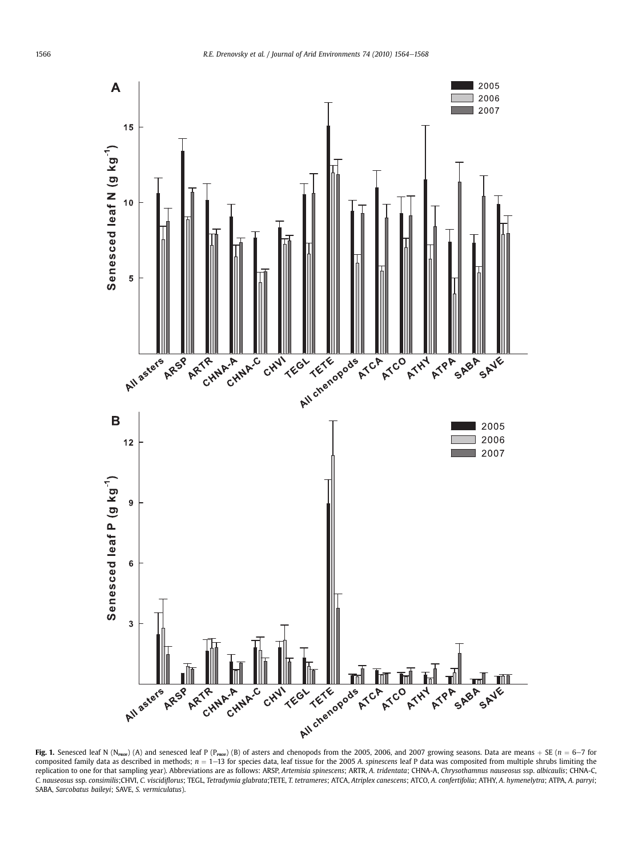<span id="page-2-0"></span>

Fig. 1. Senesced leaf N (N<sub>PROF</sub>) (A) and senesced leaf P (P<sub>PROF</sub>) (B) of asters and chenopods from the 2005, 2006, and 2007 growing seasons. Data are means + SE (n = 6–7 for composited family data as described in methods;  $n = 1 - 13$  for species data, leaf tissue for the 2005 A. spinescens leaf P data was composited from multiple shrubs limiting the replication to one for that sampling year). Abbreviations are as follows: ARSP, Artemisia spinescens; ARTR, A. tridentata; CHNA-A, Chrysothamnus nauseosus ssp. albicaulis; CHNA-C, C. nauseosus ssp. consimilis;CHVI, C. viscidiflorus; TEGL, Tetradymia glabrata;TETE, T. tetrameres; ATCA, Atriplex canescens; ATCO, A. confertifolia; ATHY, A. hymenelytra; ATPA, A. parryi; SABA, Sarcobatus baileyi; SAVE, S. vermiculatus).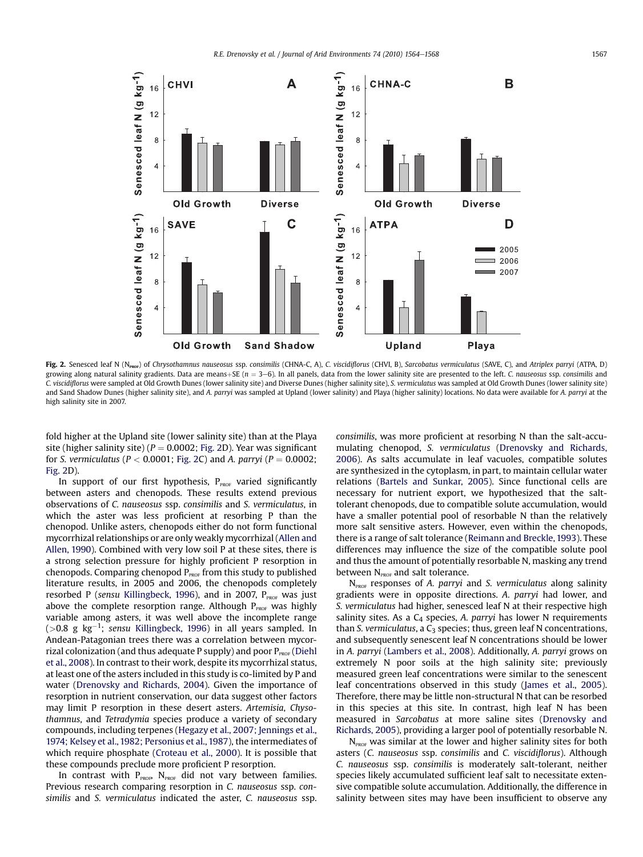<span id="page-3-0"></span>

Fig. 2. Senesced leaf N (N<sub>PROF</sub>) of Chrysothamnus nauseosus ssp. consimilis (CHNA-C, A), C. viscidiflorus (CHVI, B), Sarcobatus vermiculatus (SAVE, C), and Atriplex parryi (ATPA, D) growing along natural salinity gradients. Data are means +SE ( $n = 3-6$ ). In all panels, data from the lower salinity site are presented to the left. C. nauseosus ssp. consimilis and C. viscidiflorus were sampled at Old Growth Dunes (lower salinity site) and Diverse Dunes (higher salinity site), S. vermiculatus was sampled at Old Growth Dunes (lower salinity site) and Sand Shadow Dunes (higher salinity site), and A. parryi was sampled at Upland (lower salinity) and Playa (higher salinity) locations. No data were available for A. parryi at the high salinity site in 2007.

fold higher at the Upland site (lower salinity site) than at the Playa site (higher salinity site) ( $P = 0.0002$ ; Fig. 2D). Year was significant for S. vermiculatus ( $P < 0.0001$ ; Fig. 2C) and A. parryi ( $P = 0.0002$ ; Fig. 2D).

In support of our first hypothesis,  $P_{\text{PROF}}$  varied significantly between asters and chenopods. These results extend previous observations of C. nauseosus ssp. consimilis and S. vermiculatus, in which the aster was less proficient at resorbing P than the chenopod. Unlike asters, chenopods either do not form functional mycorrhizal relationships or are only weakly mycorrhizal [\(Allen and](#page-4-0) [Allen, 1990](#page-4-0)). Combined with very low soil P at these sites, there is a strong selection pressure for highly proficient P resorption in chenopods. Comparing chenopod  $P_{PROF}$  from this study to published literature results, in 2005 and 2006, the chenopods completely resorbed P (sensu [Killingbeck, 1996](#page-4-0)), and in 2007,  $P_{PROF}$  was just above the complete resorption range. Although  $P_{PROF}$  was highly variable among asters, it was well above the incomplete range (>0.8 g kg<sup>-1</sup>; sensu [Killingbeck, 1996](#page-4-0)) in all years sampled. In Andean-Patagonian trees there was a correlation between mycorrizal colonization (and thus adequate P supply) and poor  $P_{PROF}$  ([Diehl](#page-4-0) [et al., 2008\)](#page-4-0). In contrast to their work, despite its mycorrhizal status, at least one of the asters included in this study is co-limited by P and water ([Drenovsky and Richards, 2004](#page-4-0)). Given the importance of resorption in nutrient conservation, our data suggest other factors may limit P resorption in these desert asters. Artemisia, Chysothamnus, and Tetradymia species produce a variety of secondary compounds, including terpenes [\(Hegazy et al., 2007; Jennings et al.,](#page-4-0) [1974; Kelsey et al., 1982; Personius et al., 1987\)](#page-4-0), the intermediates of which require phosphate [\(Croteau et al., 2000\)](#page-4-0). It is possible that these compounds preclude more proficient P resorption.

In contrast with  $P_{PROF}$ , N<sub>PROF</sub> did not vary between families. Previous research comparing resorption in C. nauseosus ssp. consimilis and S. vermiculatus indicated the aster, C. nauseosus ssp. consimilis, was more proficient at resorbing N than the salt-accumulating chenopod, S. vermiculatus ([Drenovsky and Richards,](#page-4-0) [2006\)](#page-4-0). As salts accumulate in leaf vacuoles, compatible solutes are synthesized in the cytoplasm, in part, to maintain cellular water relations [\(Bartels and Sunkar, 2005\)](#page-4-0). Since functional cells are necessary for nutrient export, we hypothesized that the salttolerant chenopods, due to compatible solute accumulation, would have a smaller potential pool of resorbable N than the relatively more salt sensitive asters. However, even within the chenopods, there is a range of salt tolerance ([Reimann and Breckle, 1993](#page-4-0)). These differences may influence the size of the compatible solute pool and thus the amount of potentially resorbable N, masking any trend between  $N_{\text{ProF}}$  and salt tolerance.

 $N<sub>PROF</sub>$  responses of A. parryi and S. vermiculatus along salinity gradients were in opposite directions. A. parryi had lower, and S. vermiculatus had higher, senesced leaf N at their respective high salinity sites. As a  $C_4$  species, A. parryi has lower N requirements than S. vermiculatus, a  $C_3$  species; thus, green leaf N concentrations, and subsequently senescent leaf N concentrations should be lower in A. parryi ([Lambers et al., 2008](#page-4-0)). Additionally, A. parryi grows on extremely N poor soils at the high salinity site; previously measured green leaf concentrations were similar to the senescent leaf concentrations observed in this study ([James et al., 2005\)](#page-4-0). Therefore, there may be little non-structural N that can be resorbed in this species at this site. In contrast, high leaf N has been measured in Sarcobatus at more saline sites ([Drenovsky and](#page-4-0) [Richards, 2005](#page-4-0)), providing a larger pool of potentially resorbable N.

 $N<sub>PROF</sub>$  was similar at the lower and higher salinity sites for both asters (C. nauseosus ssp. consimilis and C. viscidiflorus). Although C. nauseosus ssp. consimilis is moderately salt-tolerant, neither species likely accumulated sufficient leaf salt to necessitate extensive compatible solute accumulation. Additionally, the difference in salinity between sites may have been insufficient to observe any